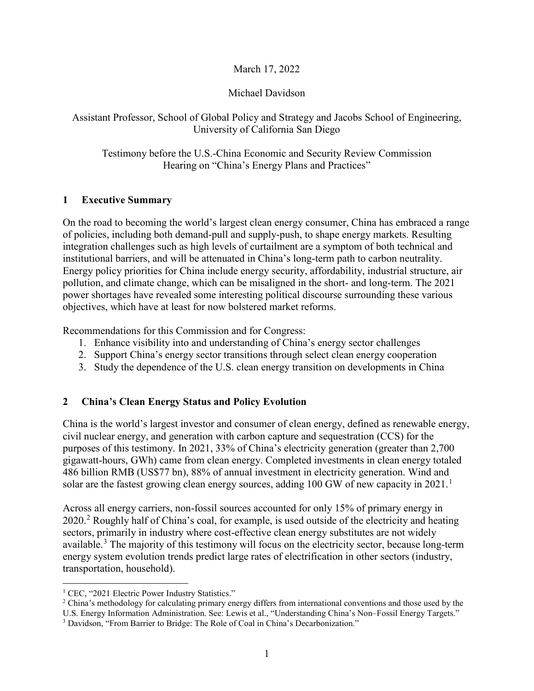### March 17, 2022

### Michael Davidson

Assistant Professor, School of Global Policy and Strategy and Jacobs School of Engineering, University of California San Diego

Testimony before the U.S.-China Economic and Security Review Commission Hearing on "China's Energy Plans and Practices"

#### **1 Executive Summary**

On the road to becoming the world's largest clean energy consumer, China has embraced a range of policies, including both demand-pull and supply-push, to shape energy markets. Resulting integration challenges such as high levels of curtailment are a symptom of both technical and institutional barriers, and will be attenuated in China's long-term path to carbon neutrality. Energy policy priorities for China include energy security, affordability, industrial structure, air pollution, and climate change, which can be misaligned in the short- and long-term. The 2021 power shortages have revealed some interesting political discourse surrounding these various objectives, which have at least for now bolstered market reforms.

Recommendations for this Commission and for Congress:

- 1. Enhance visibility into and understanding of China's energy sector challenges
- 2. Support China's energy sector transitions through select clean energy cooperation
- 3. Study the dependence of the U.S. clean energy transition on developments in China

#### **2 China's Clean Energy Status and Policy Evolution**

China is the world's largest investor and consumer of clean energy, defined as renewable energy, civil nuclear energy, and generation with carbon capture and sequestration (CCS) for the purposes of this testimony. In 2021, 33% of China's electricity generation (greater than 2,700 gigawatt-hours, GWh) came from clean energy. Completed investments in clean energy totaled 486 billion RMB (US\$77 bn), 88% of annual investment in electricity generation. Wind and solar are the fastest growing clean energy sources, adding [1](#page-0-0)00 GW of new capacity in  $2021$ .<sup>1</sup>

Across all energy carriers, non-fossil sources accounted for only 15% of primary energy in 2020.[2](#page-0-1) Roughly half of China's coal, for example, is used outside of the electricity and heating sectors, primarily in industry where cost-effective clean energy substitutes are not widely available.<sup>[3](#page-0-2)</sup> The majority of this testimony will focus on the electricity sector, because long-term energy system evolution trends predict large rates of electrification in other sectors (industry, transportation, household).

<span id="page-0-0"></span><sup>&</sup>lt;sup>1</sup> CEC, "2021 Electric Power Industry Statistics."

<span id="page-0-1"></span> $2$  China's methodology for calculating primary energy differs from international conventions and those used by the

U.S. Energy Information Administration. See: Lewis et al., "Understanding China's Non–Fossil Energy Targets."

<span id="page-0-2"></span><sup>&</sup>lt;sup>3</sup> Davidson, "From Barrier to Bridge: The Role of Coal in China's Decarbonization."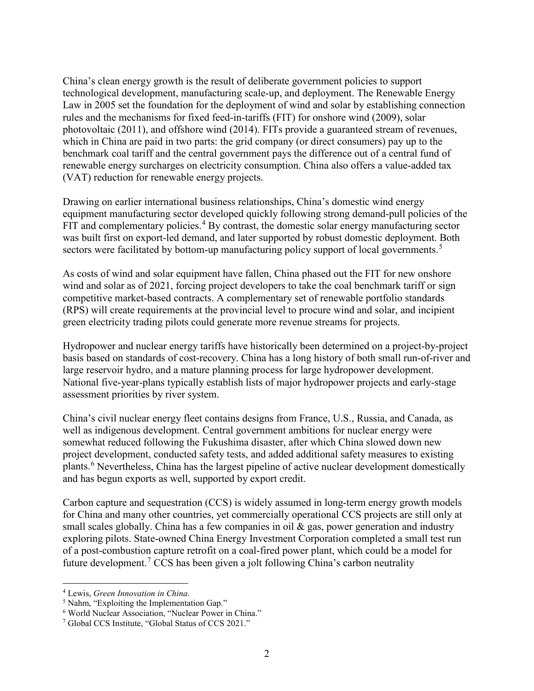China's clean energy growth is the result of deliberate government policies to support technological development, manufacturing scale-up, and deployment. The Renewable Energy Law in 2005 set the foundation for the deployment of wind and solar by establishing connection rules and the mechanisms for fixed feed-in-tariffs (FIT) for onshore wind (2009), solar photovoltaic (2011), and offshore wind (2014). FITs provide a guaranteed stream of revenues, which in China are paid in two parts: the grid company (or direct consumers) pay up to the benchmark coal tariff and the central government pays the difference out of a central fund of renewable energy surcharges on electricity consumption. China also offers a value-added tax (VAT) reduction for renewable energy projects.

Drawing on earlier international business relationships, China's domestic wind energy equipment manufacturing sector developed quickly following strong demand-pull policies of the FIT and complementary policies.<sup>[4](#page-1-0)</sup> By contrast, the domestic solar energy manufacturing sector was built first on export-led demand, and later supported by robust domestic deployment. Both sectors were facilitated by bottom-up manufacturing policy support of local governments.<sup>[5](#page-1-1)</sup>

As costs of wind and solar equipment have fallen, China phased out the FIT for new onshore wind and solar as of 2021, forcing project developers to take the coal benchmark tariff or sign competitive market-based contracts. A complementary set of renewable portfolio standards (RPS) will create requirements at the provincial level to procure wind and solar, and incipient green electricity trading pilots could generate more revenue streams for projects.

Hydropower and nuclear energy tariffs have historically been determined on a project-by-project basis based on standards of cost-recovery. China has a long history of both small run-of-river and large reservoir hydro, and a mature planning process for large hydropower development. National five-year-plans typically establish lists of major hydropower projects and early-stage assessment priorities by river system.

China's civil nuclear energy fleet contains designs from France, U.S., Russia, and Canada, as well as indigenous development. Central government ambitions for nuclear energy were somewhat reduced following the Fukushima disaster, after which China slowed down new project development, conducted safety tests, and added additional safety measures to existing plants.[6](#page-1-2) Nevertheless, China has the largest pipeline of active nuclear development domestically and has begun exports as well, supported by export credit.

Carbon capture and sequestration (CCS) is widely assumed in long-term energy growth models for China and many other countries, yet commercially operational CCS projects are still only at small scales globally. China has a few companies in oil  $\&$  gas, power generation and industry exploring pilots. State-owned China Energy Investment Corporation completed a small test run of a post-combustion capture retrofit on a coal-fired power plant, which could be a model for future development. [7](#page-1-3) CCS has been given a jolt following China's carbon neutrality

<span id="page-1-0"></span> <sup>4</sup> Lewis, *Green Innovation in China*.

<span id="page-1-1"></span><sup>5</sup> Nahm, "Exploiting the Implementation Gap."

<span id="page-1-2"></span><sup>6</sup> World Nuclear Association, "Nuclear Power in China."

<span id="page-1-3"></span><sup>7</sup> Global CCS Institute, "Global Status of CCS 2021."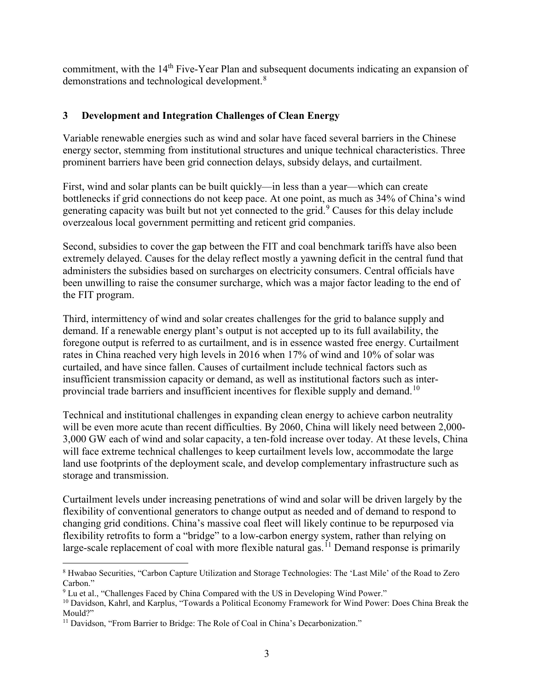commitment, with the 14<sup>th</sup> Five-Year Plan and subsequent documents indicating an expansion of demonstrations and technological development.[8](#page-2-0)

# **3 Development and Integration Challenges of Clean Energy**

Variable renewable energies such as wind and solar have faced several barriers in the Chinese energy sector, stemming from institutional structures and unique technical characteristics. Three prominent barriers have been grid connection delays, subsidy delays, and curtailment.

First, wind and solar plants can be built quickly—in less than a year—which can create bottlenecks if grid connections do not keep pace. At one point, as much as 34% of China's wind generating capacity was built but not yet connected to the grid.[9](#page-2-1) Causes for this delay include overzealous local government permitting and reticent grid companies.

Second, subsidies to cover the gap between the FIT and coal benchmark tariffs have also been extremely delayed. Causes for the delay reflect mostly a yawning deficit in the central fund that administers the subsidies based on surcharges on electricity consumers. Central officials have been unwilling to raise the consumer surcharge, which was a major factor leading to the end of the FIT program.

Third, intermittency of wind and solar creates challenges for the grid to balance supply and demand. If a renewable energy plant's output is not accepted up to its full availability, the foregone output is referred to as curtailment, and is in essence wasted free energy. Curtailment rates in China reached very high levels in 2016 when 17% of wind and 10% of solar was curtailed, and have since fallen. Causes of curtailment include technical factors such as insufficient transmission capacity or demand, as well as institutional factors such as inter-provincial trade barriers and insufficient incentives for flexible supply and demand.<sup>[10](#page-2-2)</sup>

Technical and institutional challenges in expanding clean energy to achieve carbon neutrality will be even more acute than recent difficulties. By 2060, China will likely need between 2,000- 3,000 GW each of wind and solar capacity, a ten-fold increase over today. At these levels, China will face extreme technical challenges to keep curtailment levels low, accommodate the large land use footprints of the deployment scale, and develop complementary infrastructure such as storage and transmission.

Curtailment levels under increasing penetrations of wind and solar will be driven largely by the flexibility of conventional generators to change output as needed and of demand to respond to changing grid conditions. China's massive coal fleet will likely continue to be repurposed via flexibility retrofits to form a "bridge" to a low-carbon energy system, rather than relying on large-scale replacement of coal with more flexible natural gas.<sup>[11](#page-2-3)</sup> Demand response is primarily

<span id="page-2-0"></span> <sup>8</sup> Hwabao Securities, "Carbon Capture Utilization and Storage Technologies: The 'Last Mile' of the Road to Zero Carbon."

<span id="page-2-1"></span><sup>9</sup> Lu et al., "Challenges Faced by China Compared with the US in Developing Wind Power."

<span id="page-2-2"></span><sup>10</sup> Davidson, Kahrl, and Karplus, "Towards a Political Economy Framework for Wind Power: Does China Break the Mould?"

<span id="page-2-3"></span><sup>&</sup>lt;sup>11</sup> Davidson, "From Barrier to Bridge: The Role of Coal in China's Decarbonization."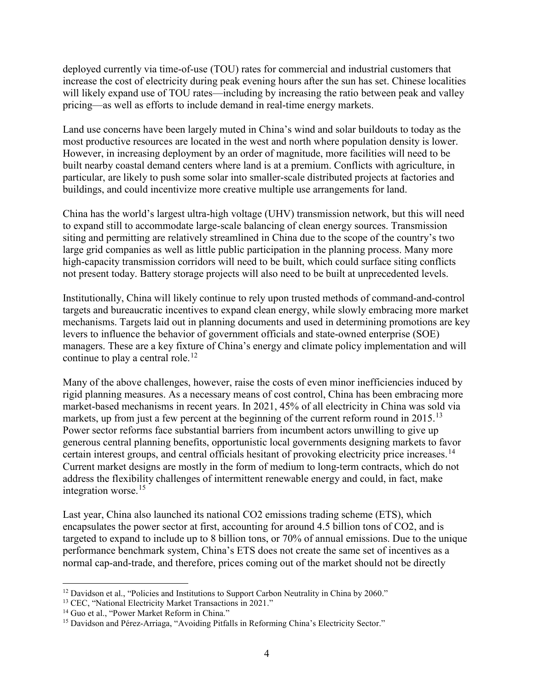deployed currently via time-of-use (TOU) rates for commercial and industrial customers that increase the cost of electricity during peak evening hours after the sun has set. Chinese localities will likely expand use of TOU rates—including by increasing the ratio between peak and valley pricing—as well as efforts to include demand in real-time energy markets.

Land use concerns have been largely muted in China's wind and solar buildouts to today as the most productive resources are located in the west and north where population density is lower. However, in increasing deployment by an order of magnitude, more facilities will need to be built nearby coastal demand centers where land is at a premium. Conflicts with agriculture, in particular, are likely to push some solar into smaller-scale distributed projects at factories and buildings, and could incentivize more creative multiple use arrangements for land.

China has the world's largest ultra-high voltage (UHV) transmission network, but this will need to expand still to accommodate large-scale balancing of clean energy sources. Transmission siting and permitting are relatively streamlined in China due to the scope of the country's two large grid companies as well as little public participation in the planning process. Many more high-capacity transmission corridors will need to be built, which could surface siting conflicts not present today. Battery storage projects will also need to be built at unprecedented levels.

Institutionally, China will likely continue to rely upon trusted methods of command-and-control targets and bureaucratic incentives to expand clean energy, while slowly embracing more market mechanisms. Targets laid out in planning documents and used in determining promotions are key levers to influence the behavior of government officials and state-owned enterprise (SOE) managers. These are a key fixture of China's energy and climate policy implementation and will continue to play a central role.<sup>[12](#page-3-0)</sup>

Many of the above challenges, however, raise the costs of even minor inefficiencies induced by rigid planning measures. As a necessary means of cost control, China has been embracing more market-based mechanisms in recent years. In 2021, 45% of all electricity in China was sold via markets, up from just a few percent at the beginning of the current reform round in  $2015$ .<sup>[13](#page-3-1)</sup> Power sector reforms face substantial barriers from incumbent actors unwilling to give up generous central planning benefits, opportunistic local governments designing markets to favor certain interest groups, and central officials hesitant of provoking electricity price increases.<sup>[14](#page-3-2)</sup> Current market designs are mostly in the form of medium to long-term contracts, which do not address the flexibility challenges of intermittent renewable energy and could, in fact, make integration worse.[15](#page-3-3)

Last year, China also launched its national CO2 emissions trading scheme (ETS), which encapsulates the power sector at first, accounting for around 4.5 billion tons of CO2, and is targeted to expand to include up to 8 billion tons, or 70% of annual emissions. Due to the unique performance benchmark system, China's ETS does not create the same set of incentives as a normal cap-and-trade, and therefore, prices coming out of the market should not be directly

<span id="page-3-0"></span> $12$  Davidson et al., "Policies and Institutions to Support Carbon Neutrality in China by 2060."

<span id="page-3-1"></span><sup>&</sup>lt;sup>13</sup> CEC, "National Electricity Market Transactions in 2021."

<span id="page-3-2"></span><sup>&</sup>lt;sup>14</sup> Guo et al., "Power Market Reform in China."

<span id="page-3-3"></span><sup>&</sup>lt;sup>15</sup> Davidson and Pérez-Arriaga, "Avoiding Pitfalls in Reforming China's Electricity Sector."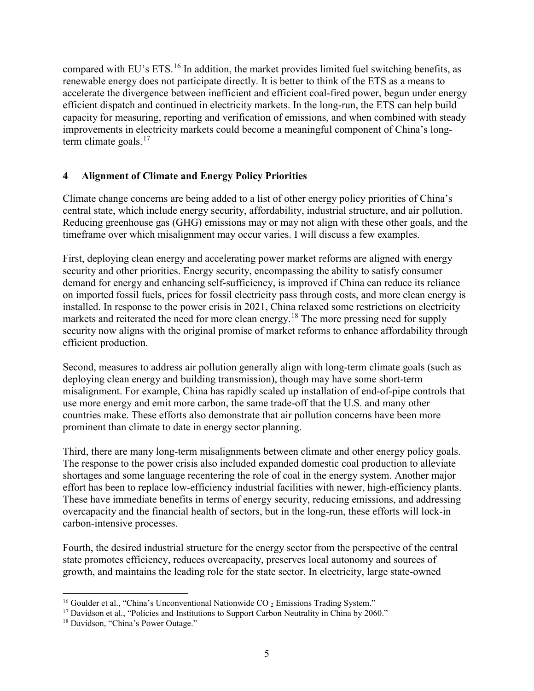compared with EU's ETS.[16](#page-4-0) In addition, the market provides limited fuel switching benefits, as renewable energy does not participate directly. It is better to think of the ETS as a means to accelerate the divergence between inefficient and efficient coal-fired power, begun under energy efficient dispatch and continued in electricity markets. In the long-run, the ETS can help build capacity for measuring, reporting and verification of emissions, and when combined with steady improvements in electricity markets could become a meaningful component of China's longterm climate goals. $17$ 

# **4 Alignment of Climate and Energy Policy Priorities**

Climate change concerns are being added to a list of other energy policy priorities of China's central state, which include energy security, affordability, industrial structure, and air pollution. Reducing greenhouse gas (GHG) emissions may or may not align with these other goals, and the timeframe over which misalignment may occur varies. I will discuss a few examples.

First, deploying clean energy and accelerating power market reforms are aligned with energy security and other priorities. Energy security, encompassing the ability to satisfy consumer demand for energy and enhancing self-sufficiency, is improved if China can reduce its reliance on imported fossil fuels, prices for fossil electricity pass through costs, and more clean energy is installed. In response to the power crisis in 2021, China relaxed some restrictions on electricity markets and reiterated the need for more clean energy.<sup>[18](#page-4-2)</sup> The more pressing need for supply security now aligns with the original promise of market reforms to enhance affordability through efficient production.

Second, measures to address air pollution generally align with long-term climate goals (such as deploying clean energy and building transmission), though may have some short-term misalignment. For example, China has rapidly scaled up installation of end-of-pipe controls that use more energy and emit more carbon, the same trade-off that the U.S. and many other countries make. These efforts also demonstrate that air pollution concerns have been more prominent than climate to date in energy sector planning.

Third, there are many long-term misalignments between climate and other energy policy goals. The response to the power crisis also included expanded domestic coal production to alleviate shortages and some language recentering the role of coal in the energy system. Another major effort has been to replace low-efficiency industrial facilities with newer, high-efficiency plants. These have immediate benefits in terms of energy security, reducing emissions, and addressing overcapacity and the financial health of sectors, but in the long-run, these efforts will lock-in carbon-intensive processes.

Fourth, the desired industrial structure for the energy sector from the perspective of the central state promotes efficiency, reduces overcapacity, preserves local autonomy and sources of growth, and maintains the leading role for the state sector. In electricity, large state-owned

<span id="page-4-0"></span><sup>&</sup>lt;sup>16</sup> Goulder et al., "China's Unconventional Nationwide CO  $_2$  Emissions Trading System."

<span id="page-4-1"></span><sup>&</sup>lt;sup>17</sup> Davidson et al., "Policies and Institutions to Support Carbon Neutrality in China by 2060."

<span id="page-4-2"></span><sup>&</sup>lt;sup>18</sup> Davidson, "China's Power Outage."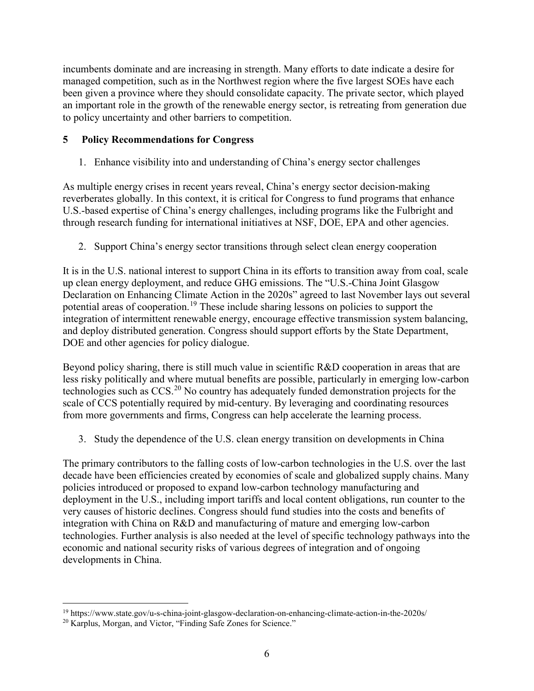incumbents dominate and are increasing in strength. Many efforts to date indicate a desire for managed competition, such as in the Northwest region where the five largest SOEs have each been given a province where they should consolidate capacity. The private sector, which played an important role in the growth of the renewable energy sector, is retreating from generation due to policy uncertainty and other barriers to competition.

# **5 Policy Recommendations for Congress**

1. Enhance visibility into and understanding of China's energy sector challenges

As multiple energy crises in recent years reveal, China's energy sector decision-making reverberates globally. In this context, it is critical for Congress to fund programs that enhance U.S.-based expertise of China's energy challenges, including programs like the Fulbright and through research funding for international initiatives at NSF, DOE, EPA and other agencies.

2. Support China's energy sector transitions through select clean energy cooperation

It is in the U.S. national interest to support China in its efforts to transition away from coal, scale up clean energy deployment, and reduce GHG emissions. The "U.S.-China Joint Glasgow Declaration on Enhancing Climate Action in the 2020s" agreed to last November lays out several potential areas of cooperation.<sup>[19](#page-5-0)</sup> These include sharing lessons on policies to support the integration of intermittent renewable energy, encourage effective transmission system balancing, and deploy distributed generation. Congress should support efforts by the State Department, DOE and other agencies for policy dialogue.

Beyond policy sharing, there is still much value in scientific R&D cooperation in areas that are less risky politically and where mutual benefits are possible, particularly in emerging low-carbon technologies such as  $CCS<sup>20</sup>$  $CCS<sup>20</sup>$  $CCS<sup>20</sup>$  No country has adequately funded demonstration projects for the scale of CCS potentially required by mid-century. By leveraging and coordinating resources from more governments and firms, Congress can help accelerate the learning process.

3. Study the dependence of the U.S. clean energy transition on developments in China

The primary contributors to the falling costs of low-carbon technologies in the U.S. over the last decade have been efficiencies created by economies of scale and globalized supply chains. Many policies introduced or proposed to expand low-carbon technology manufacturing and deployment in the U.S., including import tariffs and local content obligations, run counter to the very causes of historic declines. Congress should fund studies into the costs and benefits of integration with China on R&D and manufacturing of mature and emerging low-carbon technologies. Further analysis is also needed at the level of specific technology pathways into the economic and national security risks of various degrees of integration and of ongoing developments in China.

<span id="page-5-0"></span> <sup>19</sup> https://www.state.gov/u-s-china-joint-glasgow-declaration-on-enhancing-climate-action-in-the-2020s/

<span id="page-5-1"></span><sup>20</sup> Karplus, Morgan, and Victor, "Finding Safe Zones for Science."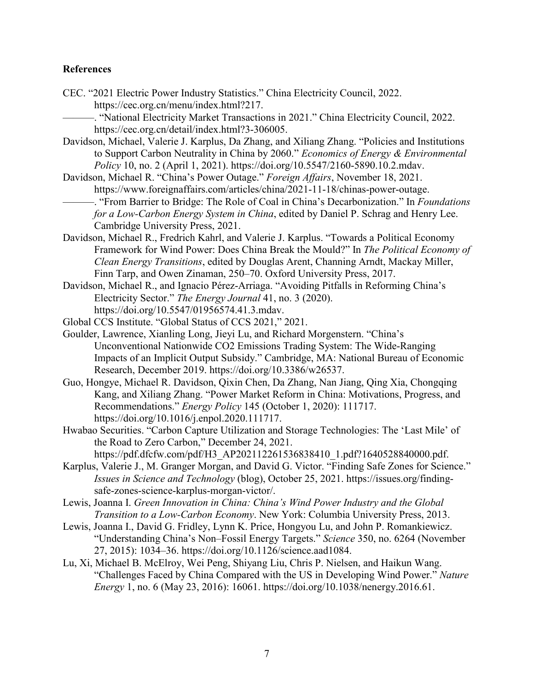#### **References**

- CEC. "2021 Electric Power Industry Statistics." China Electricity Council, 2022. https://cec.org.cn/menu/index.html?217.
- -. "National Electricity Market Transactions in 2021." China Electricity Council, 2022. https://cec.org.cn/detail/index.html?3-306005.
- Davidson, Michael, Valerie J. Karplus, Da Zhang, and Xiliang Zhang. "Policies and Institutions to Support Carbon Neutrality in China by 2060." *Economics of Energy & Environmental Policy* 10, no. 2 (April 1, 2021). https://doi.org/10.5547/2160-5890.10.2.mdav.
- Davidson, Michael R. "China's Power Outage." *Foreign Affairs*, November 18, 2021. https://www.foreignaffairs.com/articles/china/2021-11-18/chinas-power-outage.
- ———. "From Barrier to Bridge: The Role of Coal in China's Decarbonization." In *Foundations for a Low-Carbon Energy System in China*, edited by Daniel P. Schrag and Henry Lee. Cambridge University Press, 2021.
- Davidson, Michael R., Fredrich Kahrl, and Valerie J. Karplus. "Towards a Political Economy Framework for Wind Power: Does China Break the Mould?" In *The Political Economy of Clean Energy Transitions*, edited by Douglas Arent, Channing Arndt, Mackay Miller, Finn Tarp, and Owen Zinaman, 250–70. Oxford University Press, 2017.
- Davidson, Michael R., and Ignacio Pérez-Arriaga. "Avoiding Pitfalls in Reforming China's Electricity Sector." *The Energy Journal* 41, no. 3 (2020). https://doi.org/10.5547/01956574.41.3.mdav.
- Global CCS Institute. "Global Status of CCS 2021," 2021.
- Goulder, Lawrence, Xianling Long, Jieyi Lu, and Richard Morgenstern. "China's Unconventional Nationwide CO2 Emissions Trading System: The Wide-Ranging Impacts of an Implicit Output Subsidy." Cambridge, MA: National Bureau of Economic Research, December 2019. https://doi.org/10.3386/w26537.
- Guo, Hongye, Michael R. Davidson, Qixin Chen, Da Zhang, Nan Jiang, Qing Xia, Chongqing Kang, and Xiliang Zhang. "Power Market Reform in China: Motivations, Progress, and Recommendations." *Energy Policy* 145 (October 1, 2020): 111717. https://doi.org/10.1016/j.enpol.2020.111717.
- Hwabao Securities. "Carbon Capture Utilization and Storage Technologies: The 'Last Mile' of the Road to Zero Carbon," December 24, 2021. https://pdf.dfcfw.com/pdf/H3\_AP202112261536838410\_1.pdf?1640528840000.pdf.
- Karplus, Valerie J., M. Granger Morgan, and David G. Victor. "Finding Safe Zones for Science." *Issues in Science and Technology* (blog), October 25, 2021. https://issues.org/findingsafe-zones-science-karplus-morgan-victor/.
- Lewis, Joanna I. *Green Innovation in China: China's Wind Power Industry and the Global Transition to a Low-Carbon Economy*. New York: Columbia University Press, 2013.
- Lewis, Joanna I., David G. Fridley, Lynn K. Price, Hongyou Lu, and John P. Romankiewicz. "Understanding China's Non–Fossil Energy Targets." *Science* 350, no. 6264 (November 27, 2015): 1034–36. https://doi.org/10.1126/science.aad1084.
- Lu, Xi, Michael B. McElroy, Wei Peng, Shiyang Liu, Chris P. Nielsen, and Haikun Wang. "Challenges Faced by China Compared with the US in Developing Wind Power." *Nature Energy* 1, no. 6 (May 23, 2016): 16061. https://doi.org/10.1038/nenergy.2016.61.